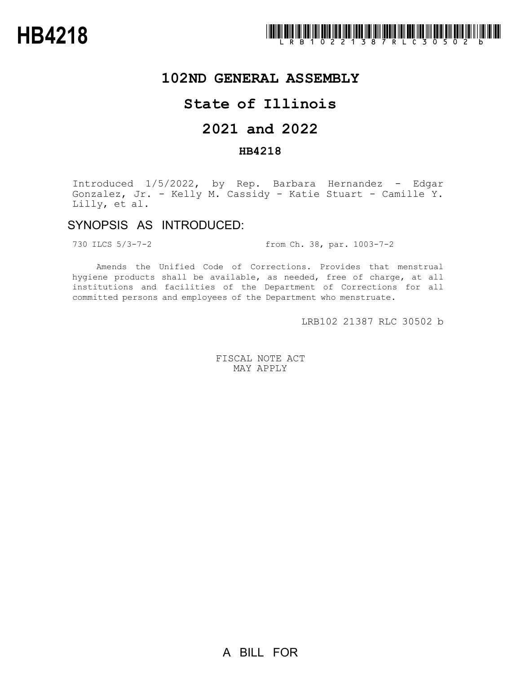

## **102ND GENERAL ASSEMBLY**

## **State of Illinois**

# **2021 and 2022**

### **HB4218**

Introduced 1/5/2022, by Rep. Barbara Hernandez - Edgar Gonzalez, Jr. - Kelly M. Cassidy - Katie Stuart - Camille Y. Lilly, et al.

## SYNOPSIS AS INTRODUCED:

730 ILCS 5/3-7-2 from Ch. 38, par. 1003-7-2

Amends the Unified Code of Corrections. Provides that menstrual hygiene products shall be available, as needed, free of charge, at all institutions and facilities of the Department of Corrections for all committed persons and employees of the Department who menstruate.

LRB102 21387 RLC 30502 b

FISCAL NOTE ACT MAY APPLY

A BILL FOR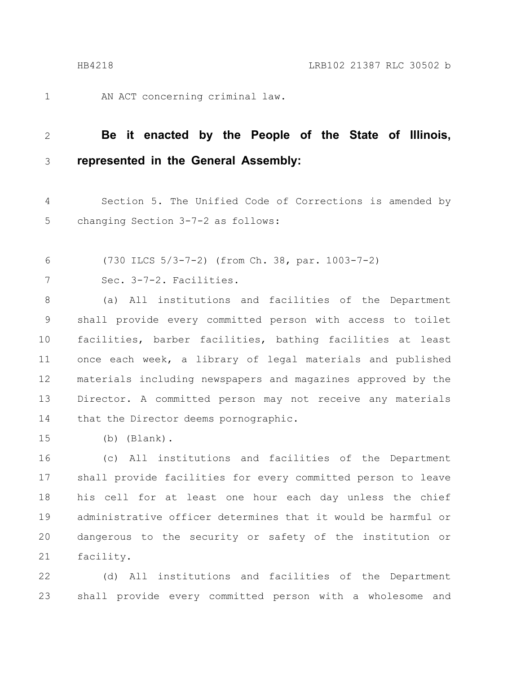1

AN ACT concerning criminal law.

#### **Be it enacted by the People of the State of Illinois, represented in the General Assembly:** 2 3

Section 5. The Unified Code of Corrections is amended by changing Section 3-7-2 as follows: 4 5

- (730 ILCS 5/3-7-2) (from Ch. 38, par. 1003-7-2) 6
- Sec. 3-7-2. Facilities. 7

(a) All institutions and facilities of the Department shall provide every committed person with access to toilet facilities, barber facilities, bathing facilities at least once each week, a library of legal materials and published materials including newspapers and magazines approved by the Director. A committed person may not receive any materials that the Director deems pornographic. 8 9 10 11 12 13 14

(b) (Blank). 15

(c) All institutions and facilities of the Department shall provide facilities for every committed person to leave his cell for at least one hour each day unless the chief administrative officer determines that it would be harmful or dangerous to the security or safety of the institution or facility. 16 17 18 19 20 21

(d) All institutions and facilities of the Department shall provide every committed person with a wholesome and 22 23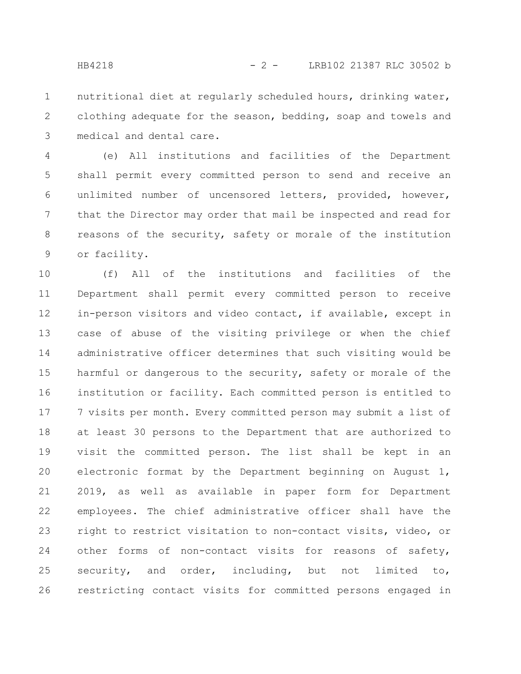nutritional diet at regularly scheduled hours, drinking water, clothing adequate for the season, bedding, soap and towels and medical and dental care. 1 2 3

(e) All institutions and facilities of the Department shall permit every committed person to send and receive an unlimited number of uncensored letters, provided, however, that the Director may order that mail be inspected and read for reasons of the security, safety or morale of the institution or facility. 4 5 6 7 8 9

(f) All of the institutions and facilities of the Department shall permit every committed person to receive in-person visitors and video contact, if available, except in case of abuse of the visiting privilege or when the chief administrative officer determines that such visiting would be harmful or dangerous to the security, safety or morale of the institution or facility. Each committed person is entitled to 7 visits per month. Every committed person may submit a list of at least 30 persons to the Department that are authorized to visit the committed person. The list shall be kept in an electronic format by the Department beginning on August 1, 2019, as well as available in paper form for Department employees. The chief administrative officer shall have the right to restrict visitation to non-contact visits, video, or other forms of non-contact visits for reasons of safety, security, and order, including, but not limited to, restricting contact visits for committed persons engaged in 10 11 12 13 14 15 16 17 18 19 20 21 22 23 24 25 26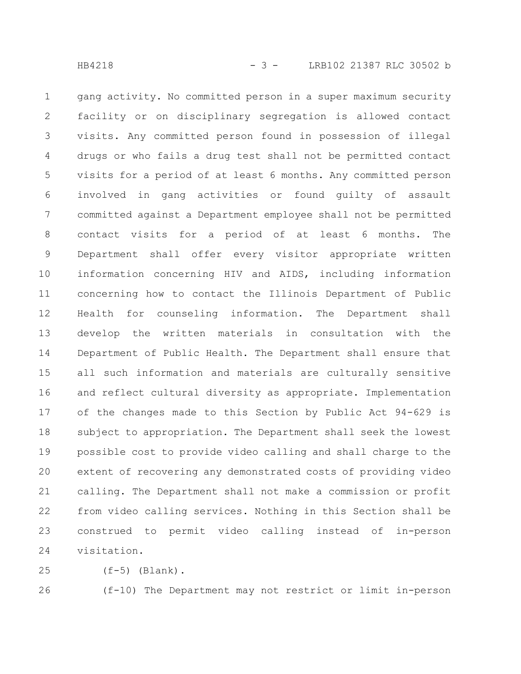gang activity. No committed person in a super maximum security facility or on disciplinary segregation is allowed contact visits. Any committed person found in possession of illegal drugs or who fails a drug test shall not be permitted contact visits for a period of at least 6 months. Any committed person involved in gang activities or found guilty of assault committed against a Department employee shall not be permitted contact visits for a period of at least 6 months. The Department shall offer every visitor appropriate written information concerning HIV and AIDS, including information concerning how to contact the Illinois Department of Public Health for counseling information. The Department shall develop the written materials in consultation with the Department of Public Health. The Department shall ensure that all such information and materials are culturally sensitive and reflect cultural diversity as appropriate. Implementation of the changes made to this Section by Public Act 94-629 is subject to appropriation. The Department shall seek the lowest possible cost to provide video calling and shall charge to the extent of recovering any demonstrated costs of providing video calling. The Department shall not make a commission or profit from video calling services. Nothing in this Section shall be construed to permit video calling instead of in-person visitation. 1 2 3 4 5 6 7 8 9 10 11 12 13 14 15 16 17 18 19 20 21 22 23 24

 $(f-5)$  (Blank). 25

26

(f-10) The Department may not restrict or limit in-person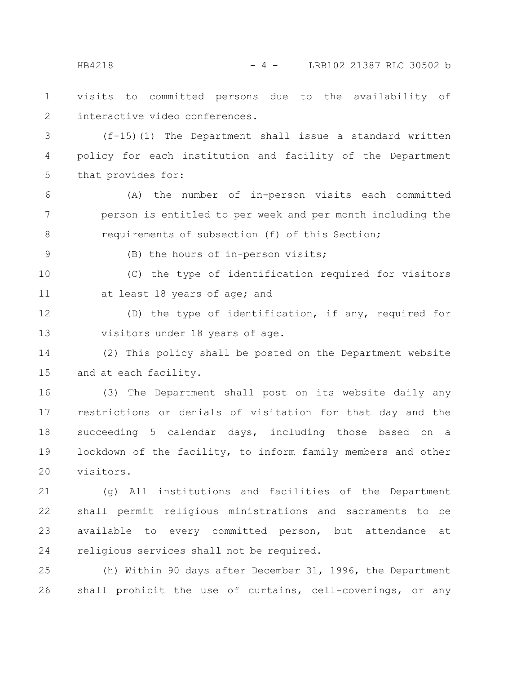visits to committed persons due to the availability of interactive video conferences. 1 2

(f-15)(1) The Department shall issue a standard written policy for each institution and facility of the Department that provides for: 3 4 5

(A) the number of in-person visits each committed person is entitled to per week and per month including the requirements of subsection (f) of this Section; 6 7 8

9

(B) the hours of in-person visits;

(C) the type of identification required for visitors at least 18 years of age; and 10 11

(D) the type of identification, if any, required for visitors under 18 years of age. 12 13

(2) This policy shall be posted on the Department website and at each facility. 14 15

(3) The Department shall post on its website daily any restrictions or denials of visitation for that day and the succeeding 5 calendar days, including those based on a lockdown of the facility, to inform family members and other visitors. 16 17 18 19 20

(g) All institutions and facilities of the Department shall permit religious ministrations and sacraments to be available to every committed person, but attendance at religious services shall not be required. 21 22 23 24

(h) Within 90 days after December 31, 1996, the Department shall prohibit the use of curtains, cell-coverings, or any 25 26